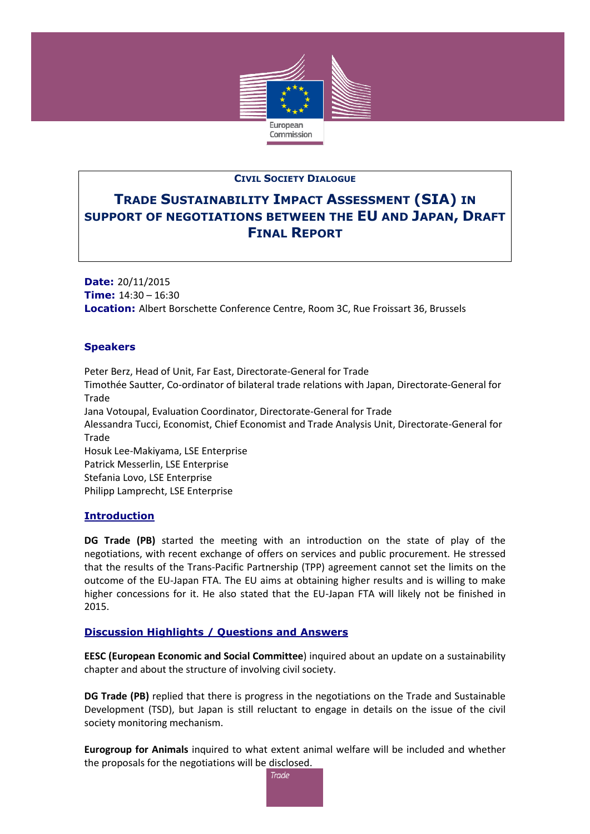

## **CIVIL SOCIETY DIALOGUE**

# **TRADE SUSTAINABILITY IMPACT ASSESSMENT (SIA) IN SUPPORT OF NEGOTIATIONS BETWEEN THE EU AND JAPAN, DRAFT FINAL REPORT**

**Date:** 20/11/2015 **Time:** 14:30 – 16:30 **Location:** Albert Borschette Conference Centre, Room 3C, Rue Froissart 36, Brussels

# **Speakers**

Peter Berz, Head of Unit, Far East, Directorate-General for Trade Timothée Sautter, Co-ordinator of bilateral trade relations with Japan, Directorate-General for Trade Jana Votoupal, Evaluation Coordinator, Directorate-General for Trade Alessandra Tucci, Economist, Chief Economist and Trade Analysis Unit, Directorate-General for Trade Hosuk Lee-Makiyama, LSE Enterprise Patrick Messerlin, LSE Enterprise Stefania Lovo, LSE Enterprise Philipp Lamprecht, LSE Enterprise

#### **Introduction**

**DG Trade (PB)** started the meeting with an introduction on the state of play of the negotiations, with recent exchange of offers on services and public procurement. He stressed that the results of the Trans-Pacific Partnership (TPP) agreement cannot set the limits on the outcome of the EU-Japan FTA. The EU aims at obtaining higher results and is willing to make higher concessions for it. He also stated that the EU-Japan FTA will likely not be finished in 2015.

#### **Discussion Highlights / Questions and Answers**

**EESC (European Economic and Social Committee**) inquired about an update on a sustainability chapter and about the structure of involving civil society.

**DG Trade (PB)** replied that there is progress in the negotiations on the Trade and Sustainable Development (TSD), but Japan is still reluctant to engage in details on the issue of the civil society monitoring mechanism.

**Eurogroup for Animals** inquired to what extent animal welfare will be included and whether the proposals for the negotiations will be disclosed.

**Trade**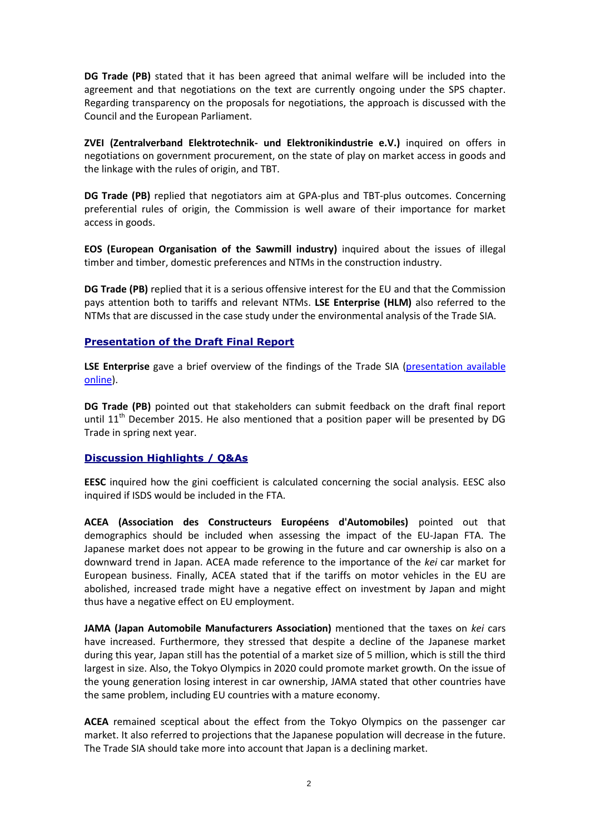**DG Trade (PB)** stated that it has been agreed that animal welfare will be included into the agreement and that negotiations on the text are currently ongoing under the SPS chapter. Regarding transparency on the proposals for negotiations, the approach is discussed with the Council and the European Parliament.

**ZVEI (Zentralverband Elektrotechnik- und Elektronikindustrie e.V.)** inquired on offers in negotiations on government procurement, on the state of play on market access in goods and the linkage with the rules of origin, and TBT.

**DG Trade (PB)** replied that negotiators aim at GPA-plus and TBT-plus outcomes. Concerning preferential rules of origin, the Commission is well aware of their importance for market access in goods.

**EOS (European Organisation of the Sawmill industry)** inquired about the issues of illegal timber and timber, domestic preferences and NTMs in the construction industry.

**DG Trade (PB)** replied that it is a serious offensive interest for the EU and that the Commission pays attention both to tariffs and relevant NTMs. **LSE Enterprise (HLM)** also referred to the NTMs that are discussed in the case study under the environmental analysis of the Trade SIA.

## **Presentation of the Draft Final Report**

**LSE Enterprise** gave a brief overview of the findings of the Trade SIA [\(presentation available](http://trade.ec.europa.eu/doclib/docs/2015/november/tradoc_154000.pdf)  [online\)](http://trade.ec.europa.eu/doclib/docs/2015/november/tradoc_154000.pdf).

**DG Trade (PB)** pointed out that stakeholders can submit feedback on the draft final report until  $11<sup>th</sup>$  December 2015. He also mentioned that a position paper will be presented by DG Trade in spring next year.

#### **Discussion Highlights / Q&As**

**EESC** inquired how the gini coefficient is calculated concerning the social analysis. EESC also inquired if ISDS would be included in the FTA.

**ACEA (Association des Constructeurs Européens d'Automobiles)** pointed out that demographics should be included when assessing the impact of the EU-Japan FTA. The Japanese market does not appear to be growing in the future and car ownership is also on a downward trend in Japan. ACEA made reference to the importance of the *kei* car market for European business. Finally, ACEA stated that if the tariffs on motor vehicles in the EU are abolished, increased trade might have a negative effect on investment by Japan and might thus have a negative effect on EU employment.

**JAMA (Japan Automobile Manufacturers Association)** mentioned that the taxes on *kei* cars have increased. Furthermore, they stressed that despite a decline of the Japanese market during this year, Japan still has the potential of a market size of 5 million, which is still the third largest in size. Also, the Tokyo Olympics in 2020 could promote market growth. On the issue of the young generation losing interest in car ownership, JAMA stated that other countries have the same problem, including EU countries with a mature economy.

**ACEA** remained sceptical about the effect from the Tokyo Olympics on the passenger car market. It also referred to projections that the Japanese population will decrease in the future. The Trade SIA should take more into account that Japan is a declining market.